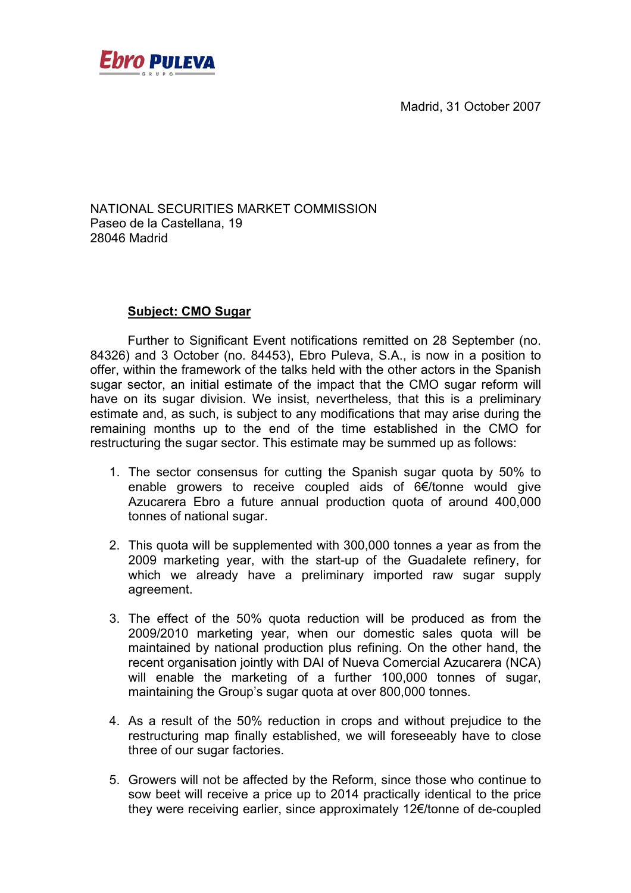Madrid, 31 October 2007



NATIONAL SECURITIES MARKET COMMISSION Paseo de la Castellana, 19 28046 Madrid

## **Subject: CMO Sugar**

Further to Significant Event notifications remitted on 28 September (no. 84326) and 3 October (no. 84453), Ebro Puleva, S.A., is now in a position to offer, within the framework of the talks held with the other actors in the Spanish sugar sector, an initial estimate of the impact that the CMO sugar reform will have on its sugar division. We insist, nevertheless, that this is a preliminary estimate and, as such, is subject to any modifications that may arise during the remaining months up to the end of the time established in the CMO for restructuring the sugar sector. This estimate may be summed up as follows:

- 1. The sector consensus for cutting the Spanish sugar quota by 50% to enable growers to receive coupled aids of 6€/tonne would give Azucarera Ebro a future annual production quota of around 400,000 tonnes of national sugar.
- 2. This quota will be supplemented with 300,000 tonnes a year as from the 2009 marketing year, with the start-up of the Guadalete refinery, for which we already have a preliminary imported raw sugar supply agreement.
- 3. The effect of the 50% quota reduction will be produced as from the 2009/2010 marketing year, when our domestic sales quota will be maintained by national production plus refining. On the other hand, the recent organisation jointly with DAI of Nueva Comercial Azucarera (NCA) will enable the marketing of a further 100,000 tonnes of sugar, maintaining the Group's sugar quota at over 800,000 tonnes.
- 4. As a result of the 50% reduction in crops and without prejudice to the restructuring map finally established, we will foreseeably have to close three of our sugar factories.
- 5. Growers will not be affected by the Reform, since those who continue to sow beet will receive a price up to 2014 practically identical to the price they were receiving earlier, since approximately 12€/tonne of de-coupled